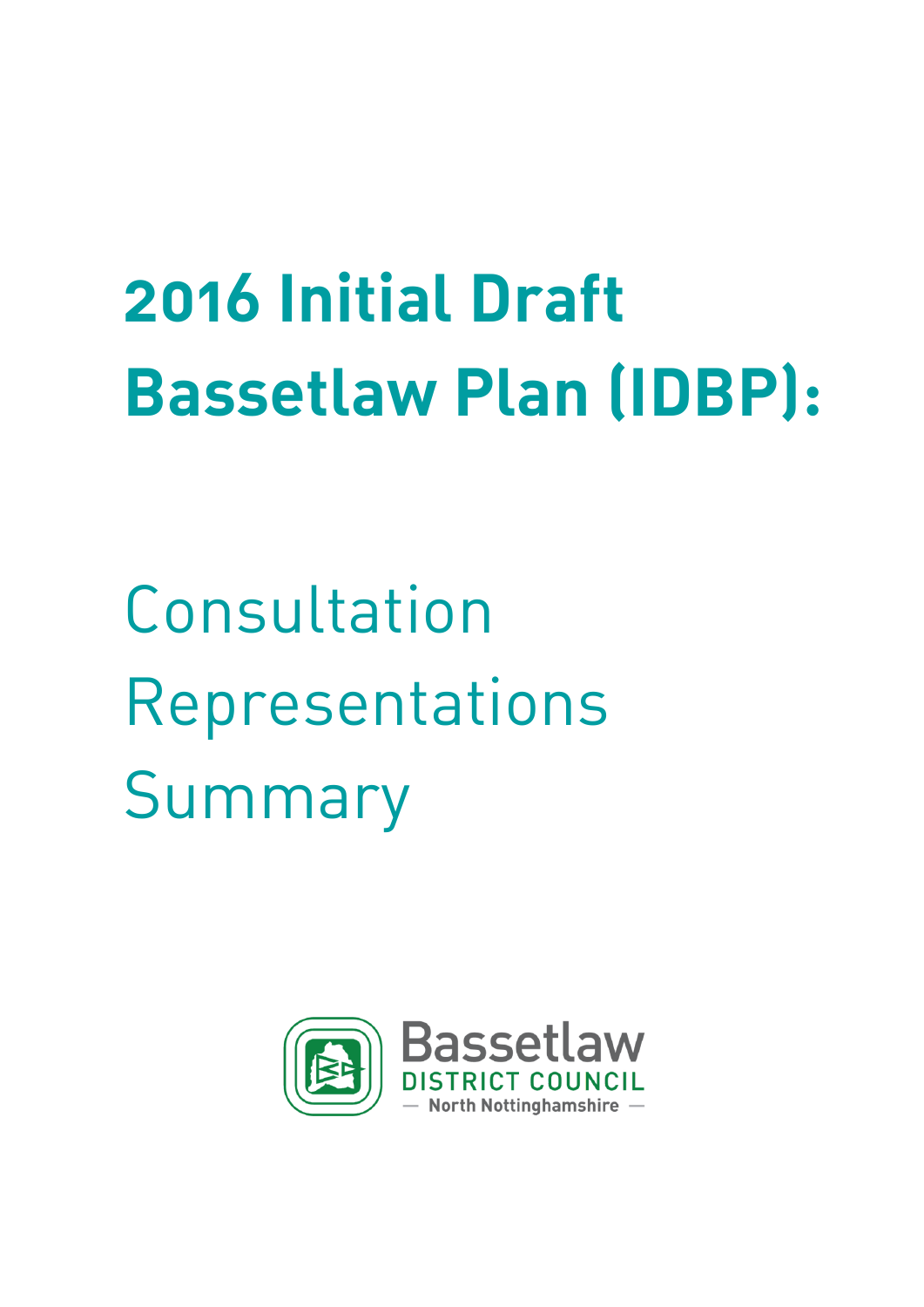# **2016 Initial Draft Bassetlaw Plan (IDBP):**

Consultation Representations Summary

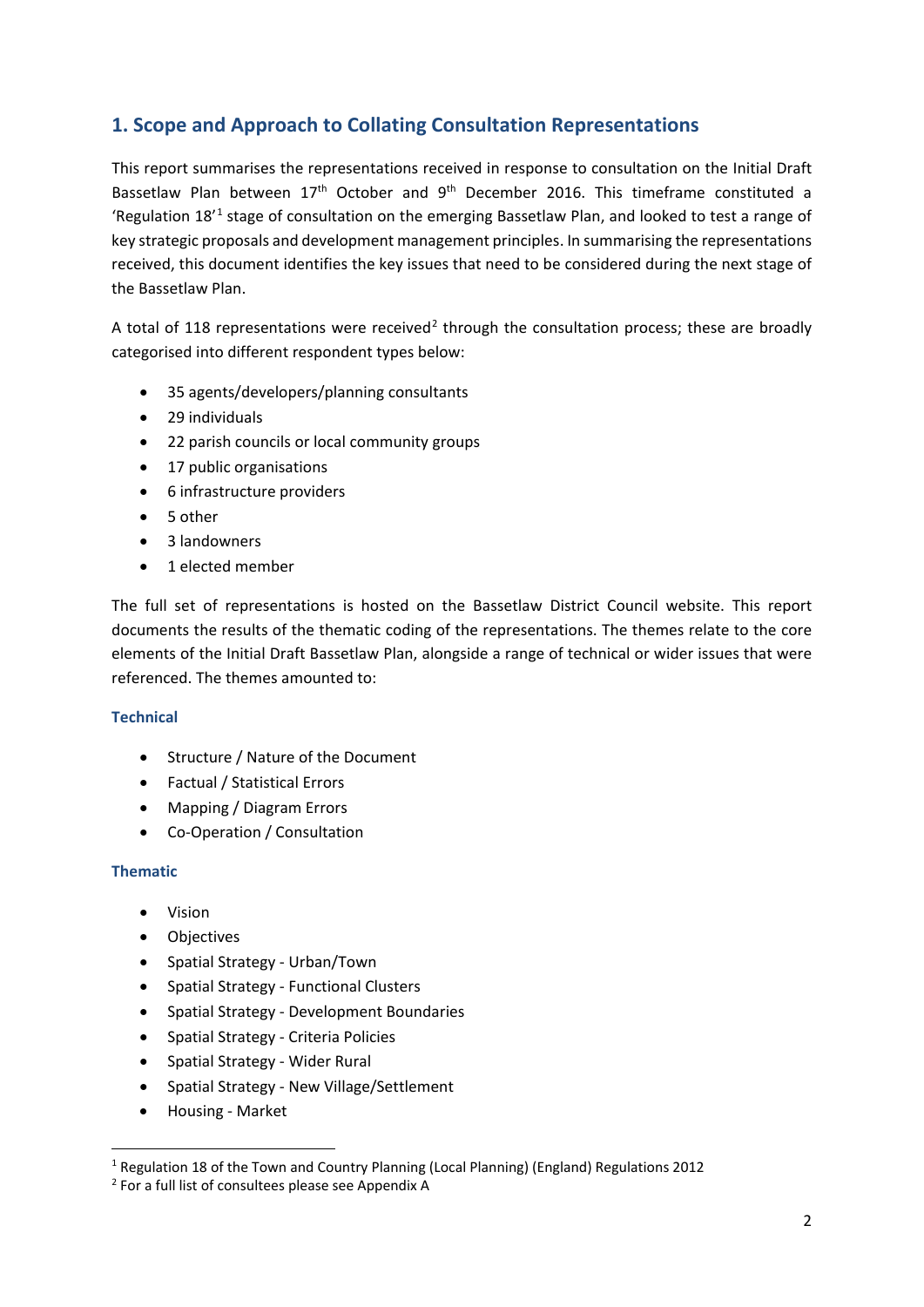# **1. Scope and Approach to Collating Consultation Representations**

This report summarises the representations received in response to consultation on the Initial Draft Bassetlaw Plan between 17<sup>th</sup> October and 9<sup>th</sup> December 2016. This timeframe constituted a 'Regulation [1](#page-1-0)8<sup>'1</sup> stage of consultation on the emerging Bassetlaw Plan, and looked to test a range of key strategic proposals and development management principles. In summarising the representations received, this document identifies the key issues that need to be considered during the next stage of the Bassetlaw Plan.

A total of 118 representations were received<sup>[2](#page-1-1)</sup> through the consultation process; these are broadly categorised into different respondent types below:

- 35 agents/developers/planning consultants
- 29 individuals
- 22 parish councils or local community groups
- 17 public organisations
- 6 infrastructure providers
- 5 other
- 3 landowners
- 1 elected member

The full set of representations is hosted on the Bassetlaw District Council website. This report documents the results of the thematic coding of the representations. The themes relate to the core elements of the Initial Draft Bassetlaw Plan, alongside a range of technical or wider issues that were referenced. The themes amounted to:

# **Technical**

- Structure / Nature of the Document
- Factual / Statistical Errors
- Mapping / Diagram Errors
- Co-Operation / Consultation

## **Thematic**

- Vision
- Objectives
- Spatial Strategy Urban/Town
- Spatial Strategy Functional Clusters
- Spatial Strategy Development Boundaries
- Spatial Strategy Criteria Policies
- Spatial Strategy Wider Rural
- Spatial Strategy New Village/Settlement
- Housing Market

<span id="page-1-0"></span> <sup>1</sup> Regulation 18 of the Town and Country Planning (Local Planning) (England) Regulations 2012

<span id="page-1-1"></span><sup>2</sup> For a full list of consultees please see Appendix A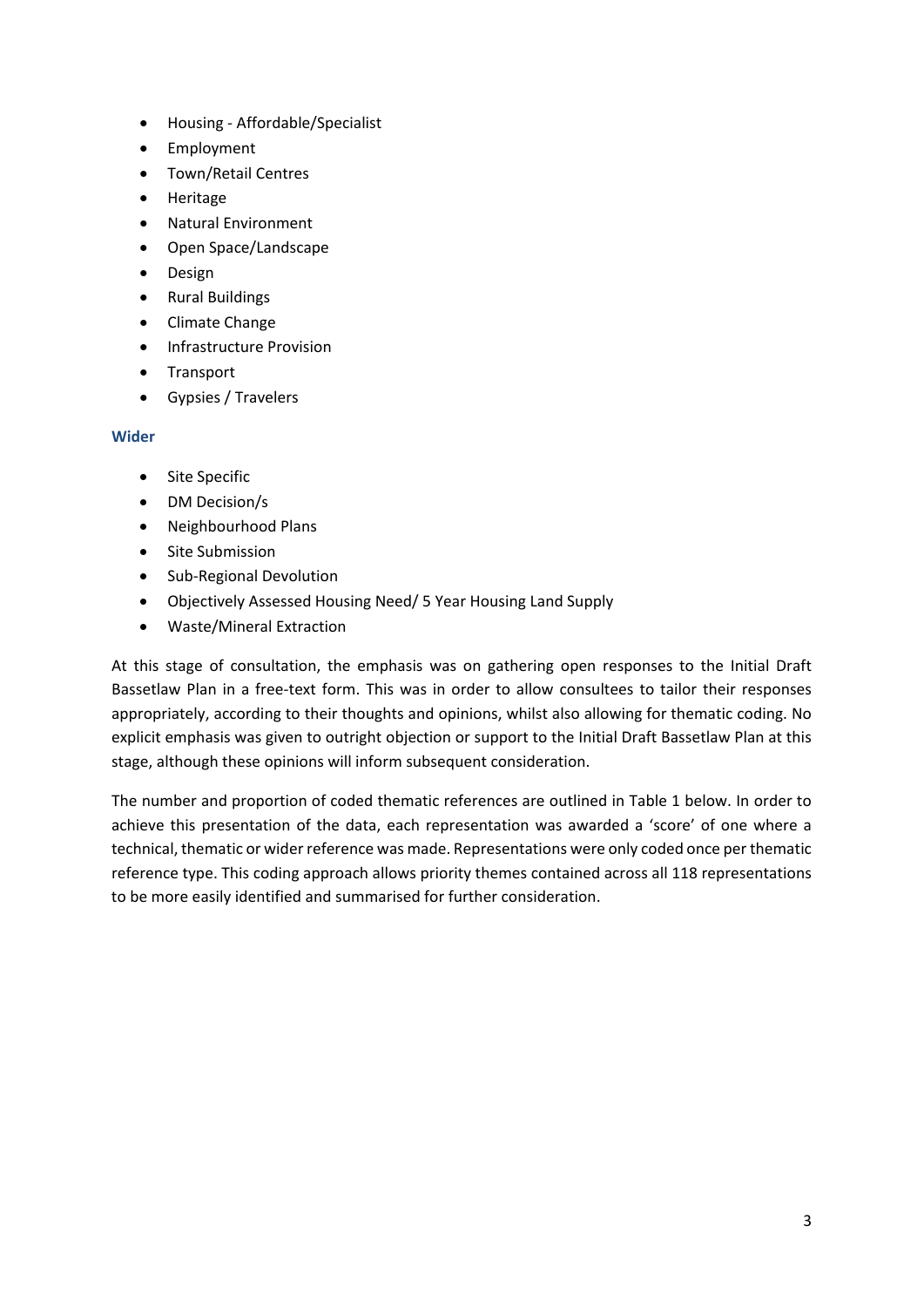- Housing Affordable/Specialist
- Employment
- Town/Retail Centres
- Heritage
- Natural Environment
- Open Space/Landscape
- Design
- Rural Buildings
- Climate Change
- Infrastructure Provision
- Transport
- Gypsies / Travelers

## **Wider**

- Site Specific
- DM Decision/s
- Neighbourhood Plans
- Site Submission
- Sub-Regional Devolution
- Objectively Assessed Housing Need/ 5 Year Housing Land Supply
- Waste/Mineral Extraction

At this stage of consultation, the emphasis was on gathering open responses to the Initial Draft Bassetlaw Plan in a free-text form. This was in order to allow consultees to tailor their responses appropriately, according to their thoughts and opinions, whilst also allowing for thematic coding. No explicit emphasis was given to outright objection or support to the Initial Draft Bassetlaw Plan at this stage, although these opinions will inform subsequent consideration.

The number and proportion of coded thematic references are outlined in Table 1 below. In order to achieve this presentation of the data, each representation was awarded a 'score' of one where a technical, thematic or wider reference was made. Representations were only coded once per thematic reference type. This coding approach allows priority themes contained across all 118 representations to be more easily identified and summarised for further consideration.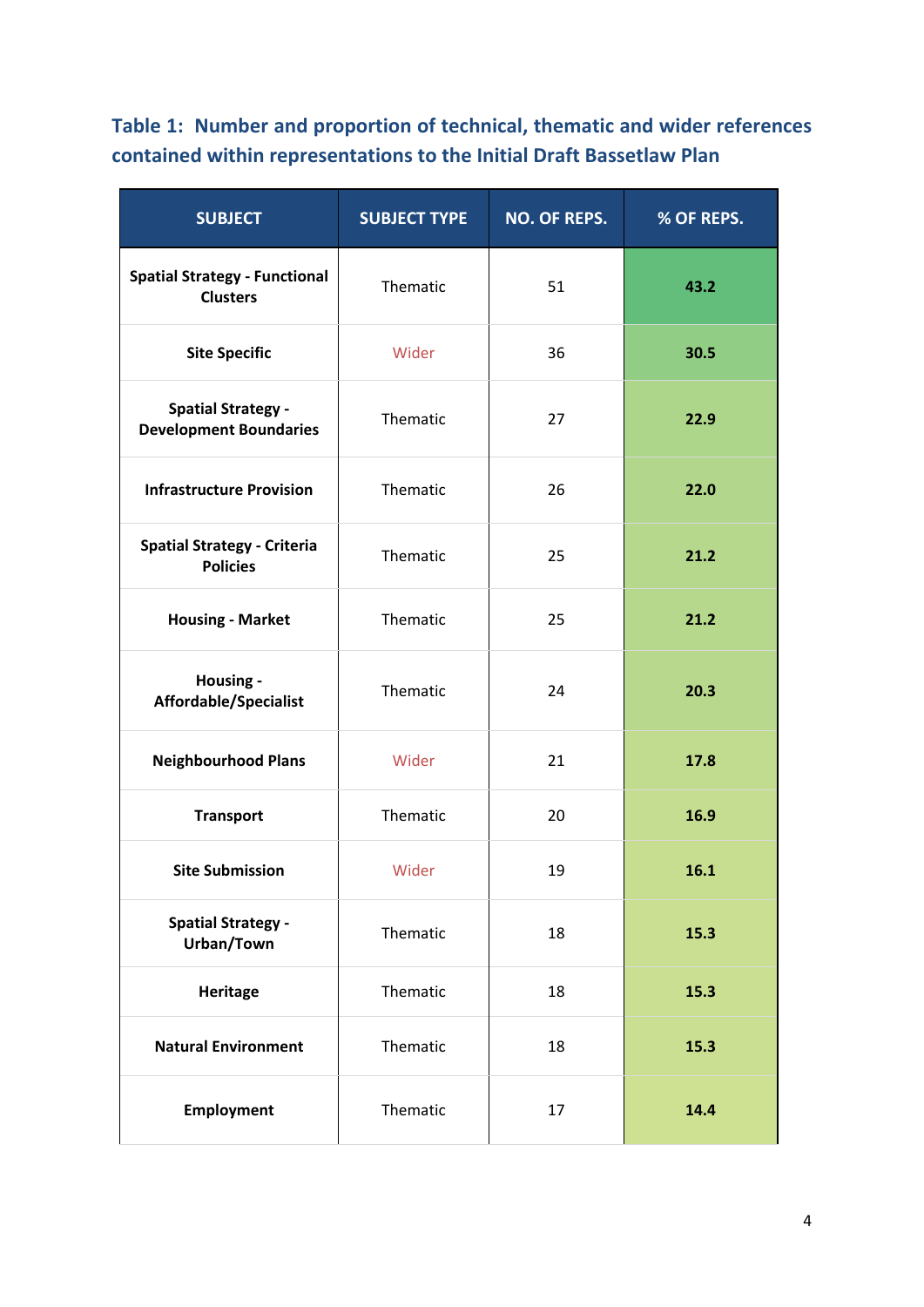**Table 1: Number and proportion of technical, thematic and wider references contained within representations to the Initial Draft Bassetlaw Plan** 

| <b>SUBJECT</b>                                             | <b>SUBJECT TYPE</b> | <b>NO. OF REPS.</b> | % OF REPS. |
|------------------------------------------------------------|---------------------|---------------------|------------|
| <b>Spatial Strategy - Functional</b><br><b>Clusters</b>    | Thematic            | 51                  | 43.2       |
| <b>Site Specific</b>                                       | Wider               | 36                  | 30.5       |
| <b>Spatial Strategy -</b><br><b>Development Boundaries</b> | Thematic            | 27                  | 22.9       |
| <b>Infrastructure Provision</b>                            | Thematic            | 26                  | 22.0       |
| <b>Spatial Strategy - Criteria</b><br><b>Policies</b>      | Thematic            | 25                  | 21.2       |
| <b>Housing - Market</b>                                    | Thematic            | 25                  | 21.2       |
| Housing -<br>Affordable/Specialist                         | Thematic            | 24                  | 20.3       |
| <b>Neighbourhood Plans</b>                                 | Wider               | 21                  | 17.8       |
| <b>Transport</b>                                           | Thematic            | 20                  | 16.9       |
| <b>Site Submission</b>                                     | Wider               | 19                  | 16.1       |
| <b>Spatial Strategy -</b><br>Urban/Town                    | Thematic            | 18                  | 15.3       |
| Heritage                                                   | Thematic            | 18                  | 15.3       |
| <b>Natural Environment</b>                                 | Thematic            | 18                  | 15.3       |
| <b>Employment</b>                                          | Thematic            | 17                  | 14.4       |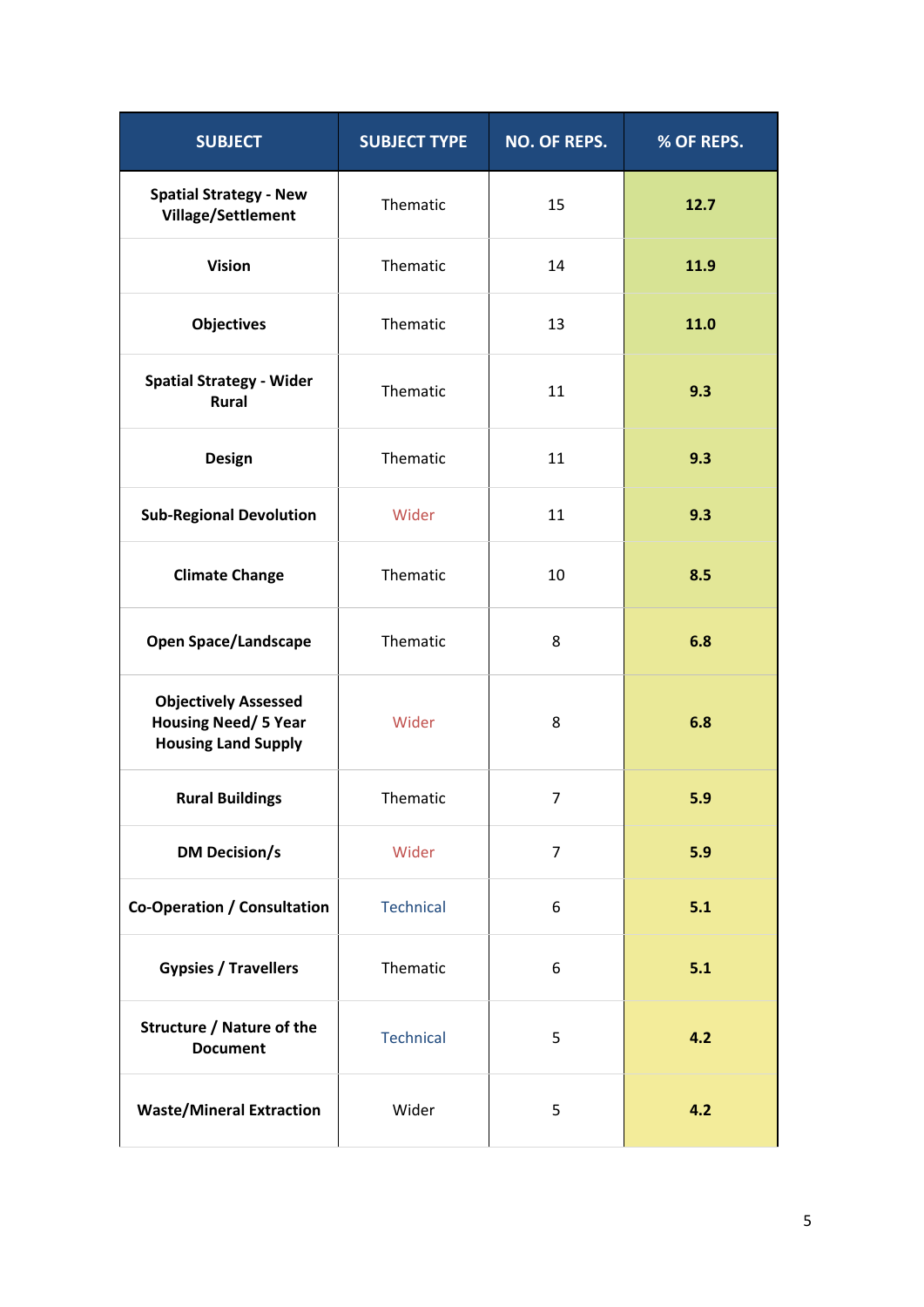| <b>SUBJECT</b>                                                                           | <b>SUBJECT TYPE</b> | <b>NO. OF REPS.</b> | % OF REPS. |
|------------------------------------------------------------------------------------------|---------------------|---------------------|------------|
| <b>Spatial Strategy - New</b><br><b>Village/Settlement</b>                               | Thematic            | 15                  | 12.7       |
| <b>Vision</b>                                                                            | Thematic            | 14                  | 11.9       |
| <b>Objectives</b>                                                                        | Thematic            | 13                  | 11.0       |
| <b>Spatial Strategy - Wider</b><br><b>Rural</b>                                          | Thematic            | 11                  | 9.3        |
| Design                                                                                   | Thematic            | 11                  | 9.3        |
| <b>Sub-Regional Devolution</b>                                                           | Wider               | 11                  | 9.3        |
| <b>Climate Change</b>                                                                    | Thematic            | 10                  | 8.5        |
| <b>Open Space/Landscape</b>                                                              | Thematic            | 8                   | 6.8        |
| <b>Objectively Assessed</b><br><b>Housing Need/ 5 Year</b><br><b>Housing Land Supply</b> | Wider               | 8                   | 6.8        |
| <b>Rural Buildings</b>                                                                   | Thematic            | 7                   | 5.9        |
| <b>DM Decision/s</b>                                                                     | Wider               | $\overline{7}$      | 5.9        |
| <b>Co-Operation / Consultation</b>                                                       | <b>Technical</b>    | 6                   | 5.1        |
| <b>Gypsies / Travellers</b>                                                              | Thematic            | 6                   | 5.1        |
| <b>Structure / Nature of the</b><br><b>Document</b>                                      | <b>Technical</b>    | 5                   | 4.2        |
| <b>Waste/Mineral Extraction</b>                                                          | Wider               | 5                   | 4.2        |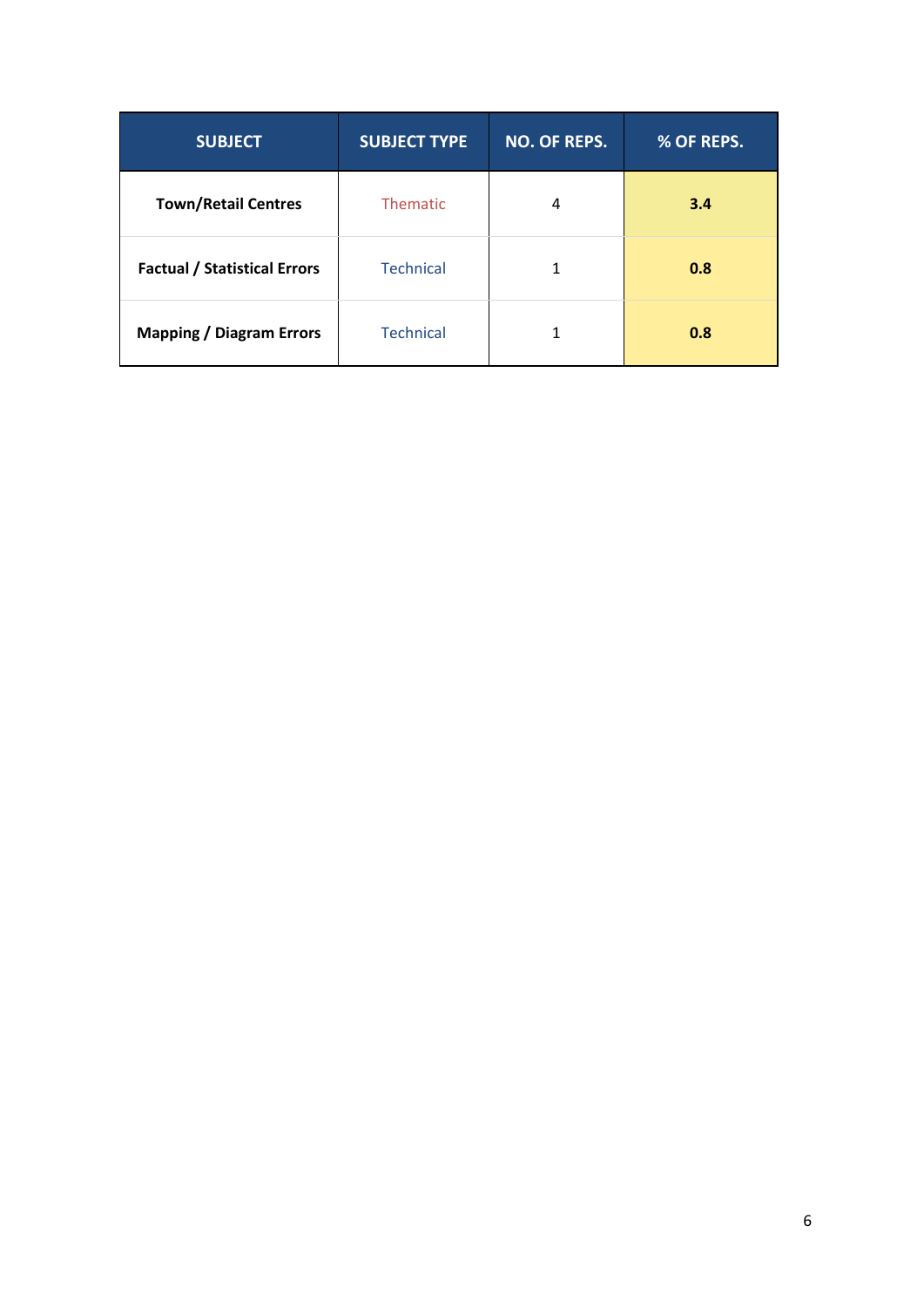| <b>SUBJECT</b>                      | <b>SUBJECT TYPE</b> | NO. OF REPS. | % OF REPS. |
|-------------------------------------|---------------------|--------------|------------|
| <b>Town/Retail Centres</b>          | Thematic            | 4            | 3.4        |
| <b>Factual / Statistical Errors</b> | <b>Technical</b>    |              | 0.8        |
| <b>Mapping / Diagram Errors</b>     | <b>Technical</b>    |              | 0.8        |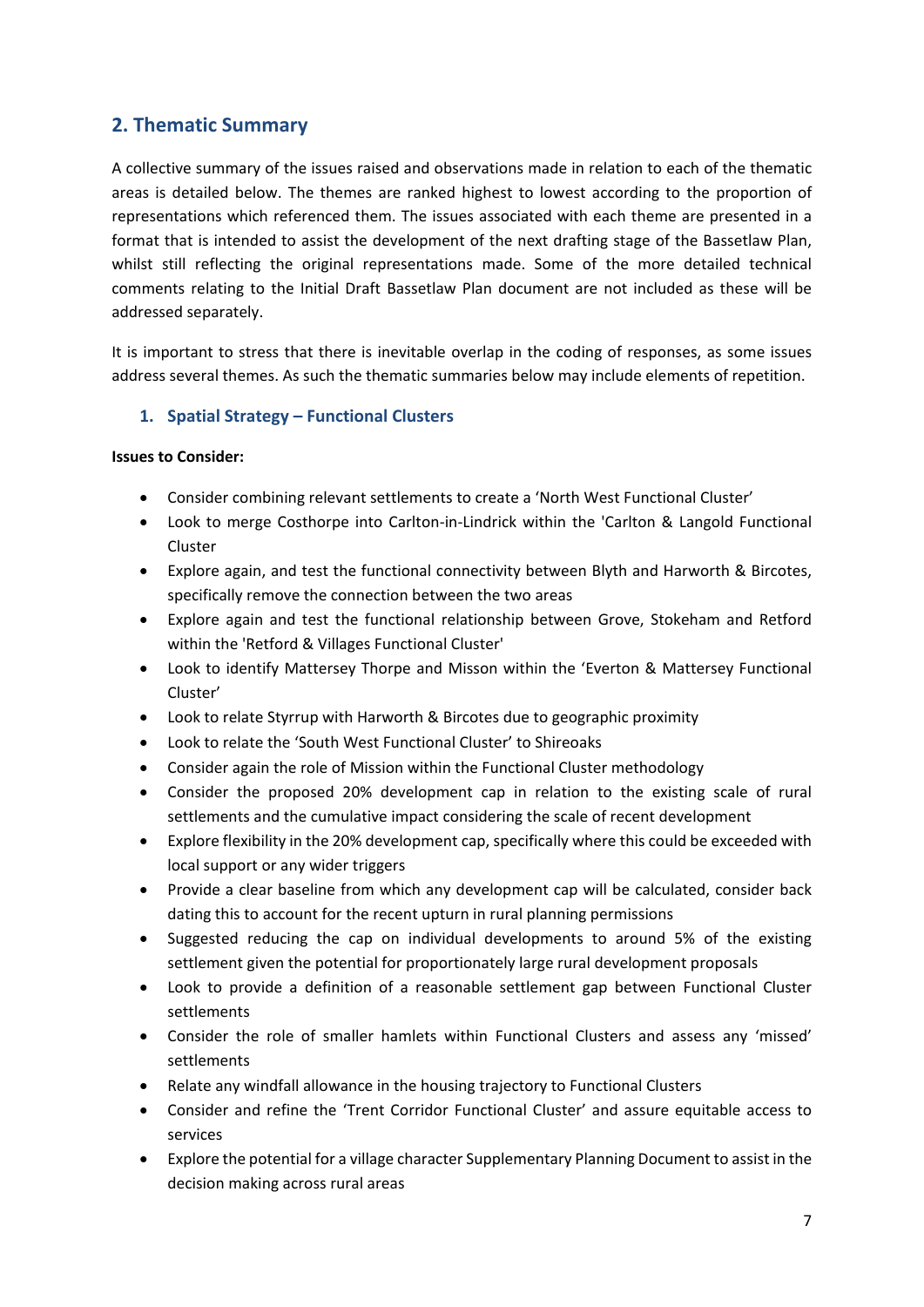# **2. Thematic Summary**

A collective summary of the issues raised and observations made in relation to each of the thematic areas is detailed below. The themes are ranked highest to lowest according to the proportion of representations which referenced them. The issues associated with each theme are presented in a format that is intended to assist the development of the next drafting stage of the Bassetlaw Plan, whilst still reflecting the original representations made. Some of the more detailed technical comments relating to the Initial Draft Bassetlaw Plan document are not included as these will be addressed separately.

It is important to stress that there is inevitable overlap in the coding of responses, as some issues address several themes. As such the thematic summaries below may include elements of repetition.

# **1. Spatial Strategy – Functional Clusters**

- Consider combining relevant settlements to create a 'North West Functional Cluster'
- Look to merge Costhorpe into Carlton-in-Lindrick within the 'Carlton & Langold Functional Cluster
- Explore again, and test the functional connectivity between Blyth and Harworth & Bircotes, specifically remove the connection between the two areas
- Explore again and test the functional relationship between Grove, Stokeham and Retford within the 'Retford & Villages Functional Cluster'
- Look to identify Mattersey Thorpe and Misson within the 'Everton & Mattersey Functional Cluster'
- Look to relate Styrrup with Harworth & Bircotes due to geographic proximity
- Look to relate the 'South West Functional Cluster' to Shireoaks
- Consider again the role of Mission within the Functional Cluster methodology
- Consider the proposed 20% development cap in relation to the existing scale of rural settlements and the cumulative impact considering the scale of recent development
- Explore flexibility in the 20% development cap, specifically where this could be exceeded with local support or any wider triggers
- Provide a clear baseline from which any development cap will be calculated, consider back dating this to account for the recent upturn in rural planning permissions
- Suggested reducing the cap on individual developments to around 5% of the existing settlement given the potential for proportionately large rural development proposals
- Look to provide a definition of a reasonable settlement gap between Functional Cluster settlements
- Consider the role of smaller hamlets within Functional Clusters and assess any 'missed' settlements
- Relate any windfall allowance in the housing trajectory to Functional Clusters
- Consider and refine the 'Trent Corridor Functional Cluster' and assure equitable access to services
- Explore the potential for a village character Supplementary Planning Document to assist in the decision making across rural areas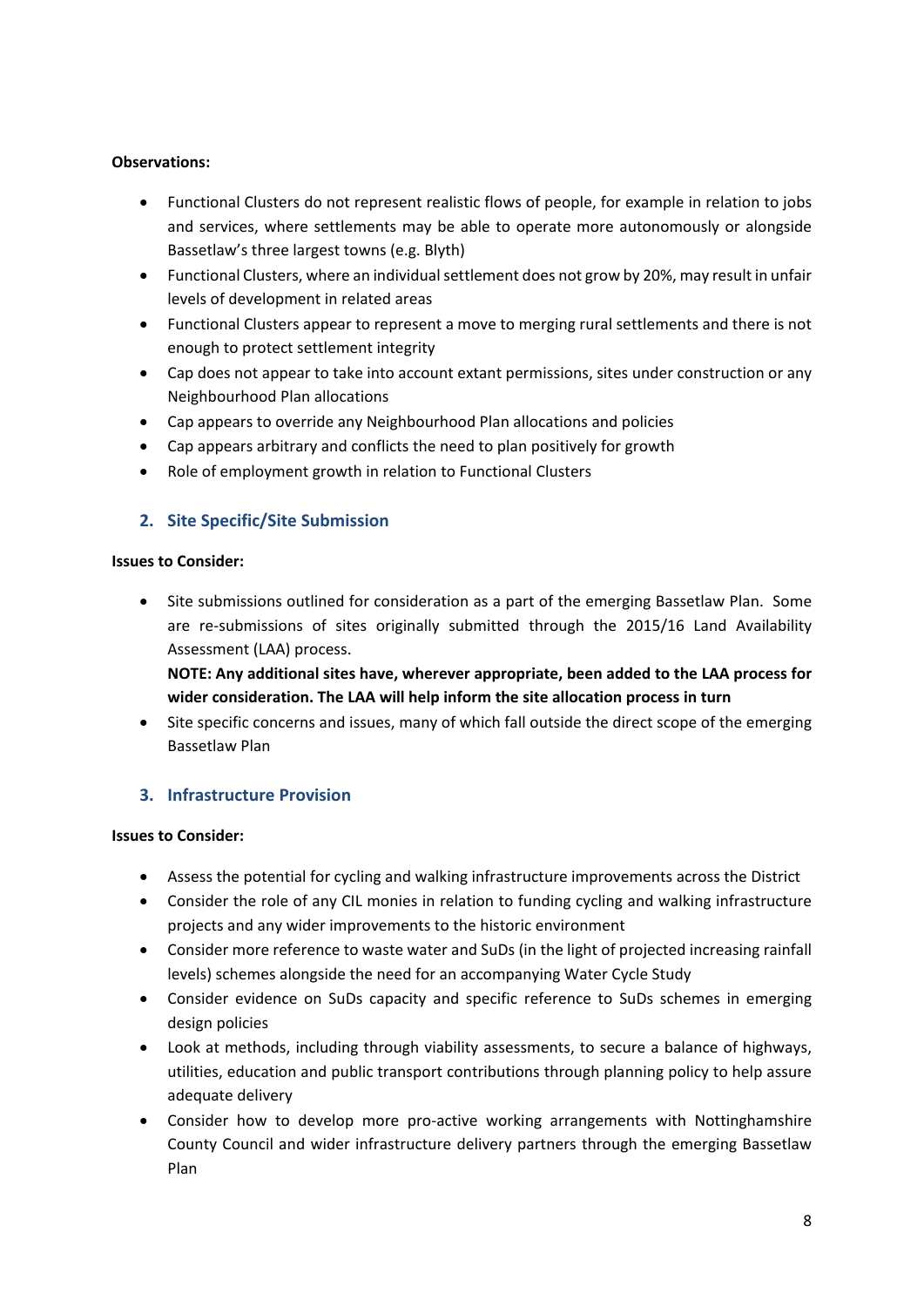- Functional Clusters do not represent realistic flows of people, for example in relation to jobs and services, where settlements may be able to operate more autonomously or alongside Bassetlaw's three largest towns (e.g. Blyth)
- Functional Clusters, where an individual settlement does not grow by 20%, may result in unfair levels of development in related areas
- Functional Clusters appear to represent a move to merging rural settlements and there is not enough to protect settlement integrity
- Cap does not appear to take into account extant permissions, sites under construction or any Neighbourhood Plan allocations
- Cap appears to override any Neighbourhood Plan allocations and policies
- Cap appears arbitrary and conflicts the need to plan positively for growth
- Role of employment growth in relation to Functional Clusters

# **2. Site Specific/Site Submission**

## **Issues to Consider:**

• Site submissions outlined for consideration as a part of the emerging Bassetlaw Plan. Some are re-submissions of sites originally submitted through the 2015/16 Land Availability Assessment (LAA) process.

**NOTE: Any additional sites have, wherever appropriate, been added to the LAA process for wider consideration. The LAA will help inform the site allocation process in turn**

• Site specific concerns and issues, many of which fall outside the direct scope of the emerging Bassetlaw Plan

# **3. Infrastructure Provision**

- Assess the potential for cycling and walking infrastructure improvements across the District
- Consider the role of any CIL monies in relation to funding cycling and walking infrastructure projects and any wider improvements to the historic environment
- Consider more reference to waste water and SuDs (in the light of projected increasing rainfall levels) schemes alongside the need for an accompanying Water Cycle Study
- Consider evidence on SuDs capacity and specific reference to SuDs schemes in emerging design policies
- Look at methods, including through viability assessments, to secure a balance of highways, utilities, education and public transport contributions through planning policy to help assure adequate delivery
- Consider how to develop more pro-active working arrangements with Nottinghamshire County Council and wider infrastructure delivery partners through the emerging Bassetlaw Plan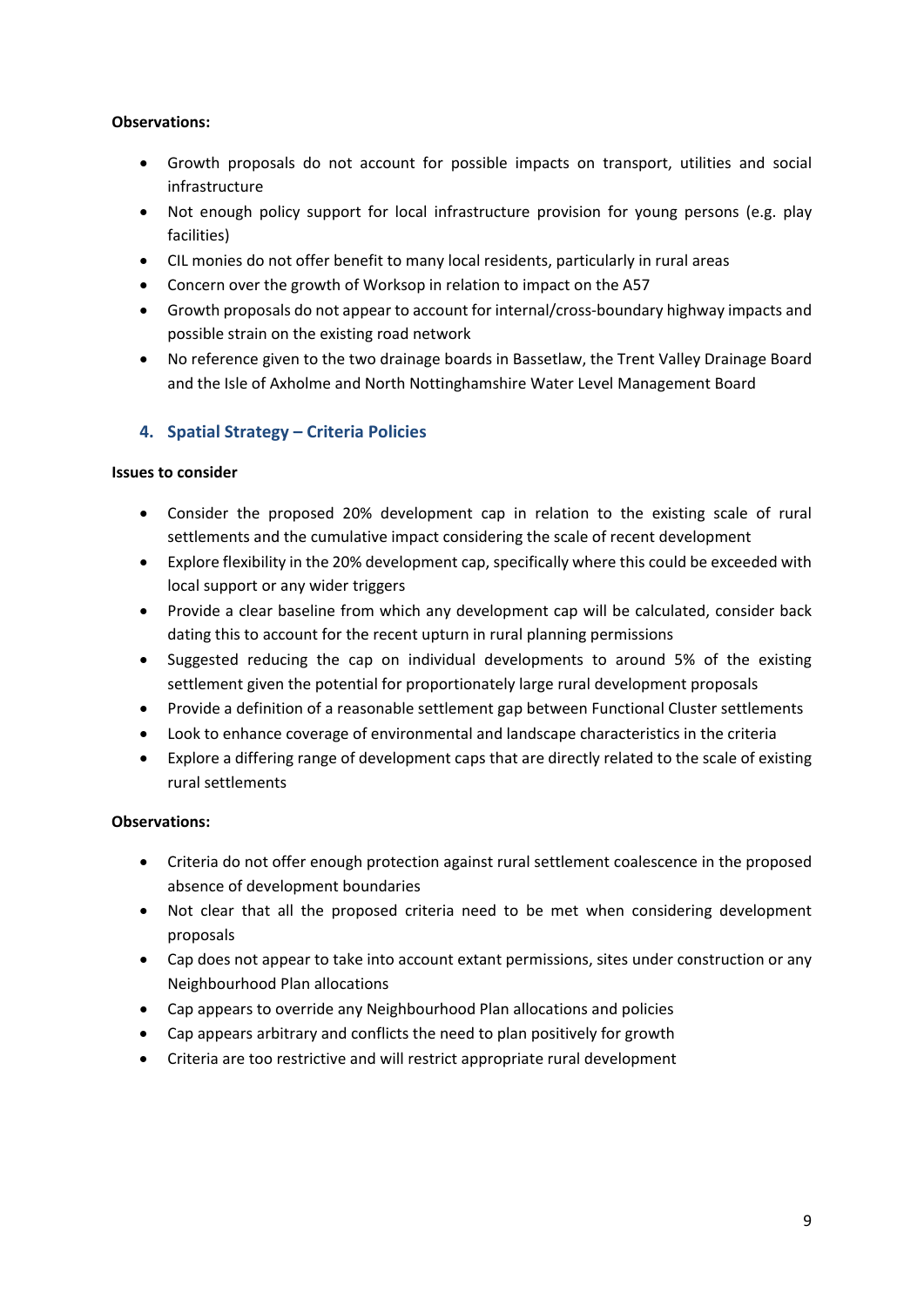- Growth proposals do not account for possible impacts on transport, utilities and social infrastructure
- Not enough policy support for local infrastructure provision for young persons (e.g. play facilities)
- CIL monies do not offer benefit to many local residents, particularly in rural areas
- Concern over the growth of Worksop in relation to impact on the A57
- Growth proposals do not appear to account for internal/cross-boundary highway impacts and possible strain on the existing road network
- No reference given to the two drainage boards in Bassetlaw, the Trent Valley Drainage Board and the Isle of Axholme and North Nottinghamshire Water Level Management Board

# **4. Spatial Strategy – Criteria Policies**

## **Issues to consider**

- Consider the proposed 20% development cap in relation to the existing scale of rural settlements and the cumulative impact considering the scale of recent development
- Explore flexibility in the 20% development cap, specifically where this could be exceeded with local support or any wider triggers
- Provide a clear baseline from which any development cap will be calculated, consider back dating this to account for the recent upturn in rural planning permissions
- Suggested reducing the cap on individual developments to around 5% of the existing settlement given the potential for proportionately large rural development proposals
- Provide a definition of a reasonable settlement gap between Functional Cluster settlements
- Look to enhance coverage of environmental and landscape characteristics in the criteria
- Explore a differing range of development caps that are directly related to the scale of existing rural settlements

# **Observations:**

- Criteria do not offer enough protection against rural settlement coalescence in the proposed absence of development boundaries
- Not clear that all the proposed criteria need to be met when considering development proposals
- Cap does not appear to take into account extant permissions, sites under construction or any Neighbourhood Plan allocations
- Cap appears to override any Neighbourhood Plan allocations and policies
- Cap appears arbitrary and conflicts the need to plan positively for growth
- Criteria are too restrictive and will restrict appropriate rural development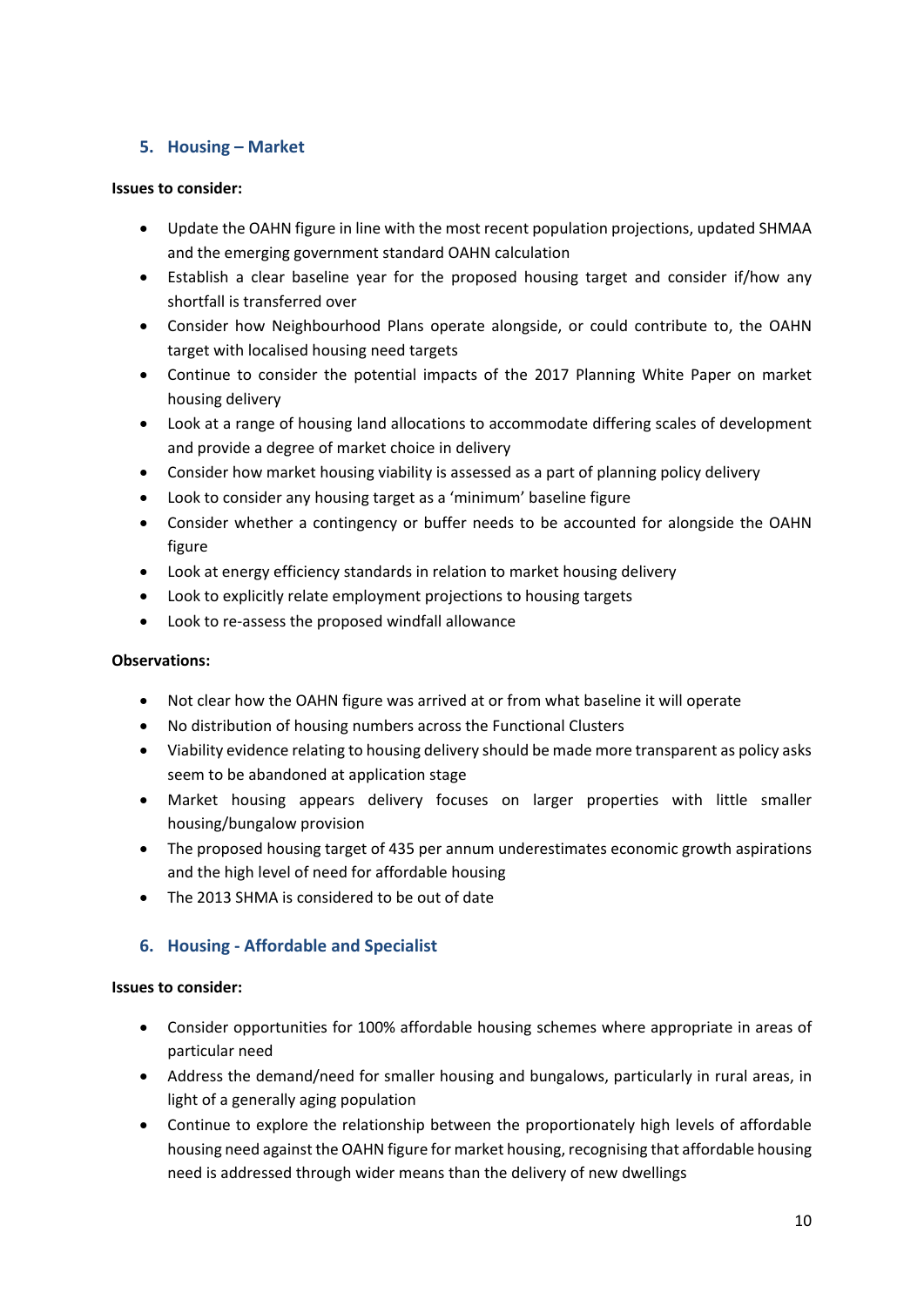# **5. Housing – Market**

## **Issues to consider:**

- Update the OAHN figure in line with the most recent population projections, updated SHMAA and the emerging government standard OAHN calculation
- Establish a clear baseline year for the proposed housing target and consider if/how any shortfall is transferred over
- Consider how Neighbourhood Plans operate alongside, or could contribute to, the OAHN target with localised housing need targets
- Continue to consider the potential impacts of the 2017 Planning White Paper on market housing delivery
- Look at a range of housing land allocations to accommodate differing scales of development and provide a degree of market choice in delivery
- Consider how market housing viability is assessed as a part of planning policy delivery
- Look to consider any housing target as a 'minimum' baseline figure
- Consider whether a contingency or buffer needs to be accounted for alongside the OAHN figure
- Look at energy efficiency standards in relation to market housing delivery
- Look to explicitly relate employment projections to housing targets
- Look to re-assess the proposed windfall allowance

# **Observations:**

- Not clear how the OAHN figure was arrived at or from what baseline it will operate
- No distribution of housing numbers across the Functional Clusters
- Viability evidence relating to housing delivery should be made more transparent as policy asks seem to be abandoned at application stage
- Market housing appears delivery focuses on larger properties with little smaller housing/bungalow provision
- The proposed housing target of 435 per annum underestimates economic growth aspirations and the high level of need for affordable housing
- The 2013 SHMA is considered to be out of date

# **6. Housing - Affordable and Specialist**

- Consider opportunities for 100% affordable housing schemes where appropriate in areas of particular need
- Address the demand/need for smaller housing and bungalows, particularly in rural areas, in light of a generally aging population
- Continue to explore the relationship between the proportionately high levels of affordable housing need against the OAHN figure for market housing, recognising that affordable housing need is addressed through wider means than the delivery of new dwellings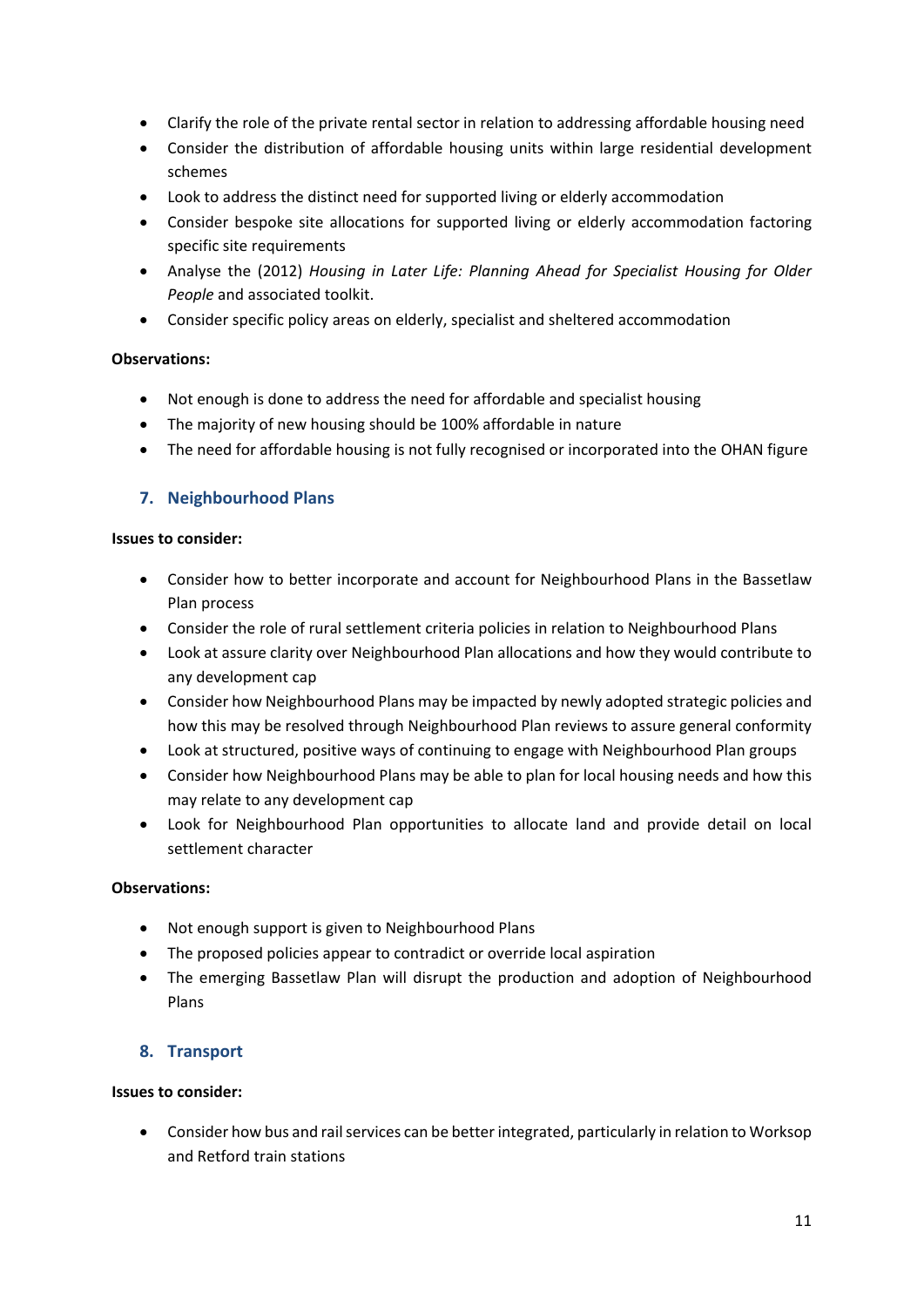- Clarify the role of the private rental sector in relation to addressing affordable housing need
- Consider the distribution of affordable housing units within large residential development schemes
- Look to address the distinct need for supported living or elderly accommodation
- Consider bespoke site allocations for supported living or elderly accommodation factoring specific site requirements
- Analyse the (2012) *Housing in Later Life: Planning Ahead for Specialist Housing for Older People* and associated toolkit.
- Consider specific policy areas on elderly, specialist and sheltered accommodation

- Not enough is done to address the need for affordable and specialist housing
- The majority of new housing should be 100% affordable in nature
- The need for affordable housing is not fully recognised or incorporated into the OHAN figure

# **7. Neighbourhood Plans**

## **Issues to consider:**

- Consider how to better incorporate and account for Neighbourhood Plans in the Bassetlaw Plan process
- Consider the role of rural settlement criteria policies in relation to Neighbourhood Plans
- Look at assure clarity over Neighbourhood Plan allocations and how they would contribute to any development cap
- Consider how Neighbourhood Plans may be impacted by newly adopted strategic policies and how this may be resolved through Neighbourhood Plan reviews to assure general conformity
- Look at structured, positive ways of continuing to engage with Neighbourhood Plan groups
- Consider how Neighbourhood Plans may be able to plan for local housing needs and how this may relate to any development cap
- Look for Neighbourhood Plan opportunities to allocate land and provide detail on local settlement character

# **Observations:**

- Not enough support is given to Neighbourhood Plans
- The proposed policies appear to contradict or override local aspiration
- The emerging Bassetlaw Plan will disrupt the production and adoption of Neighbourhood Plans

# **8. Transport**

# **Issues to consider:**

• Consider how bus and rail services can be better integrated, particularly in relation to Worksop and Retford train stations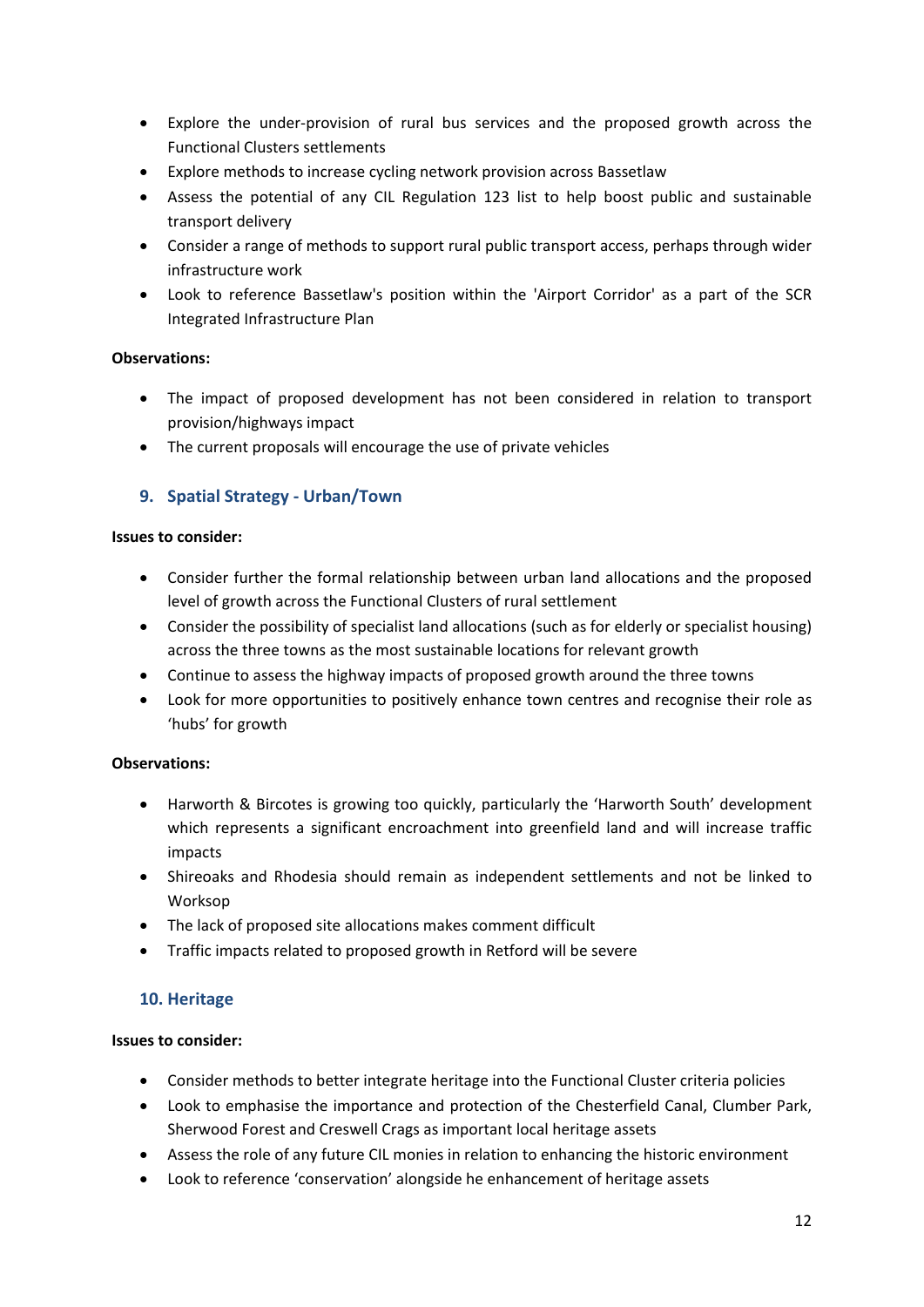- Explore the under-provision of rural bus services and the proposed growth across the Functional Clusters settlements
- Explore methods to increase cycling network provision across Bassetlaw
- Assess the potential of any CIL Regulation 123 list to help boost public and sustainable transport delivery
- Consider a range of methods to support rural public transport access, perhaps through wider infrastructure work
- Look to reference Bassetlaw's position within the 'Airport Corridor' as a part of the SCR Integrated Infrastructure Plan

- The impact of proposed development has not been considered in relation to transport provision/highways impact
- The current proposals will encourage the use of private vehicles

# **9. Spatial Strategy - Urban/Town**

## **Issues to consider:**

- Consider further the formal relationship between urban land allocations and the proposed level of growth across the Functional Clusters of rural settlement
- Consider the possibility of specialist land allocations (such as for elderly or specialist housing) across the three towns as the most sustainable locations for relevant growth
- Continue to assess the highway impacts of proposed growth around the three towns
- Look for more opportunities to positively enhance town centres and recognise their role as 'hubs' for growth

# **Observations:**

- Harworth & Bircotes is growing too quickly, particularly the 'Harworth South' development which represents a significant encroachment into greenfield land and will increase traffic impacts
- Shireoaks and Rhodesia should remain as independent settlements and not be linked to Worksop
- The lack of proposed site allocations makes comment difficult
- Traffic impacts related to proposed growth in Retford will be severe

# **10. Heritage**

- Consider methods to better integrate heritage into the Functional Cluster criteria policies
- Look to emphasise the importance and protection of the Chesterfield Canal, Clumber Park, Sherwood Forest and Creswell Crags as important local heritage assets
- Assess the role of any future CIL monies in relation to enhancing the historic environment
- Look to reference 'conservation' alongside he enhancement of heritage assets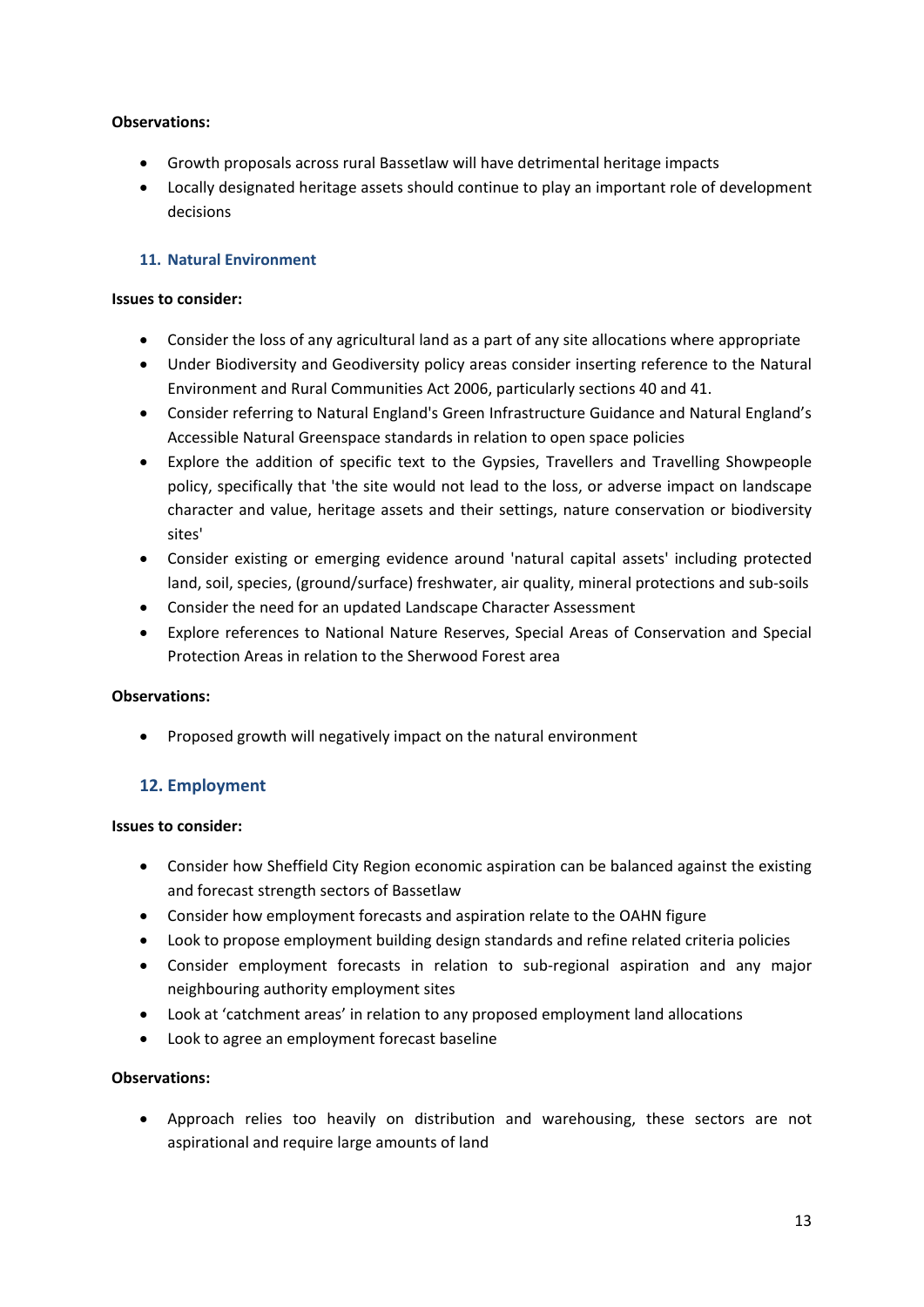- Growth proposals across rural Bassetlaw will have detrimental heritage impacts
- Locally designated heritage assets should continue to play an important role of development decisions

# **11. Natural Environment**

## **Issues to consider:**

- Consider the loss of any agricultural land as a part of any site allocations where appropriate
- Under Biodiversity and Geodiversity policy areas consider inserting reference to the Natural Environment and Rural Communities Act 2006, particularly sections 40 and 41.
- Consider referring to Natural England's Green Infrastructure Guidance and Natural England's Accessible Natural Greenspace standards in relation to open space policies
- Explore the addition of specific text to the Gypsies, Travellers and Travelling Showpeople policy, specifically that 'the site would not lead to the loss, or adverse impact on landscape character and value, heritage assets and their settings, nature conservation or biodiversity sites'
- Consider existing or emerging evidence around 'natural capital assets' including protected land, soil, species, (ground/surface) freshwater, air quality, mineral protections and sub-soils
- Consider the need for an updated Landscape Character Assessment
- Explore references to National Nature Reserves, Special Areas of Conservation and Special Protection Areas in relation to the Sherwood Forest area

# **Observations:**

• Proposed growth will negatively impact on the natural environment

# **12. Employment**

# **Issues to consider:**

- Consider how Sheffield City Region economic aspiration can be balanced against the existing and forecast strength sectors of Bassetlaw
- Consider how employment forecasts and aspiration relate to the OAHN figure
- Look to propose employment building design standards and refine related criteria policies
- Consider employment forecasts in relation to sub-regional aspiration and any major neighbouring authority employment sites
- Look at 'catchment areas' in relation to any proposed employment land allocations
- Look to agree an employment forecast baseline

# **Observations:**

• Approach relies too heavily on distribution and warehousing, these sectors are not aspirational and require large amounts of land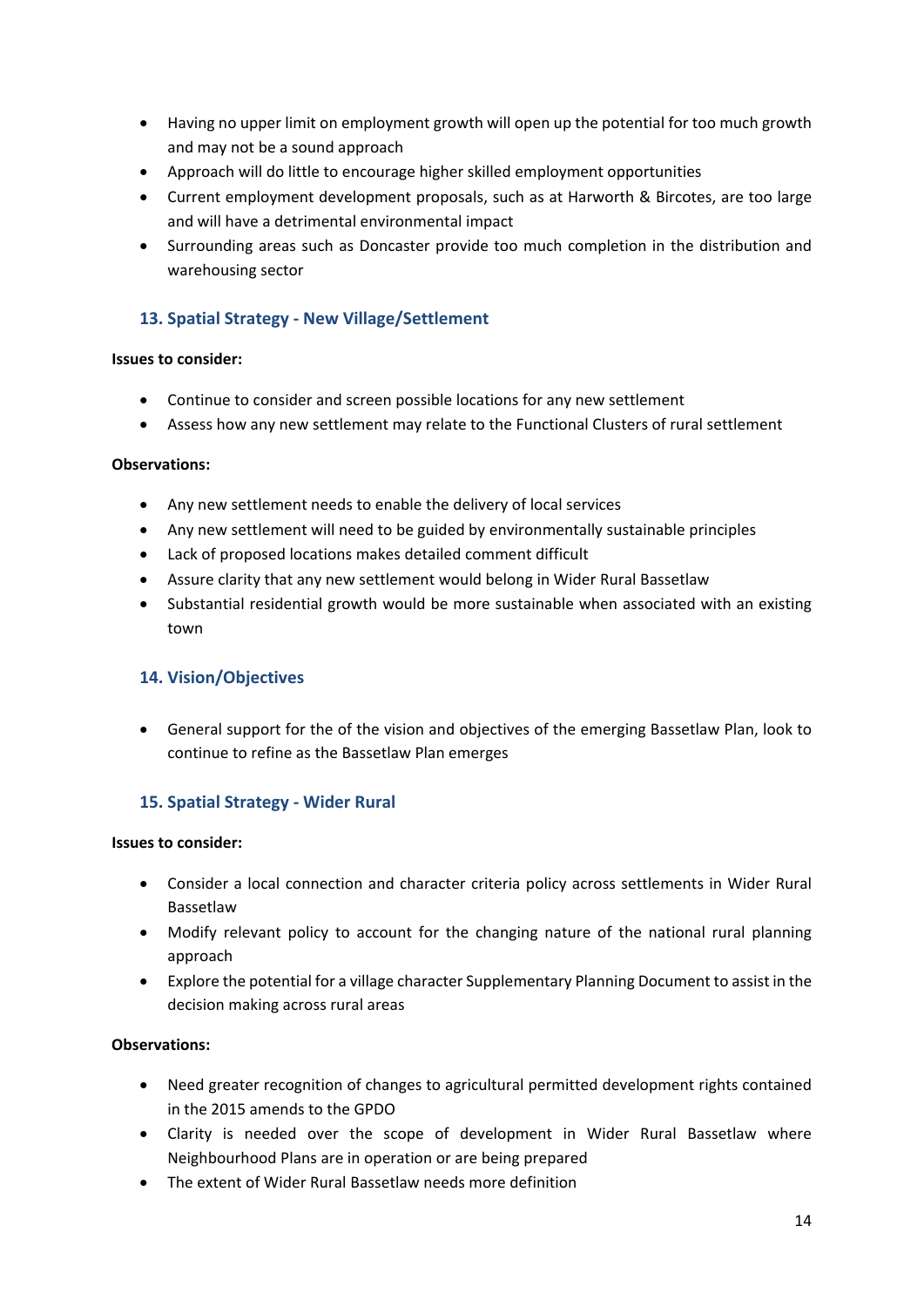- Having no upper limit on employment growth will open up the potential for too much growth and may not be a sound approach
- Approach will do little to encourage higher skilled employment opportunities
- Current employment development proposals, such as at Harworth & Bircotes, are too large and will have a detrimental environmental impact
- Surrounding areas such as Doncaster provide too much completion in the distribution and warehousing sector

# **13. Spatial Strategy - New Village/Settlement**

## **Issues to consider:**

- Continue to consider and screen possible locations for any new settlement
- Assess how any new settlement may relate to the Functional Clusters of rural settlement

## **Observations:**

- Any new settlement needs to enable the delivery of local services
- Any new settlement will need to be guided by environmentally sustainable principles
- Lack of proposed locations makes detailed comment difficult
- Assure clarity that any new settlement would belong in Wider Rural Bassetlaw
- Substantial residential growth would be more sustainable when associated with an existing town

# **14. Vision/Objectives**

• General support for the of the vision and objectives of the emerging Bassetlaw Plan, look to continue to refine as the Bassetlaw Plan emerges

# **15. Spatial Strategy - Wider Rural**

## **Issues to consider:**

- Consider a local connection and character criteria policy across settlements in Wider Rural Bassetlaw
- Modify relevant policy to account for the changing nature of the national rural planning approach
- Explore the potential for a village character Supplementary Planning Document to assist in the decision making across rural areas

# **Observations:**

- Need greater recognition of changes to agricultural permitted development rights contained in the 2015 amends to the GPDO
- Clarity is needed over the scope of development in Wider Rural Bassetlaw where Neighbourhood Plans are in operation or are being prepared
- The extent of Wider Rural Bassetlaw needs more definition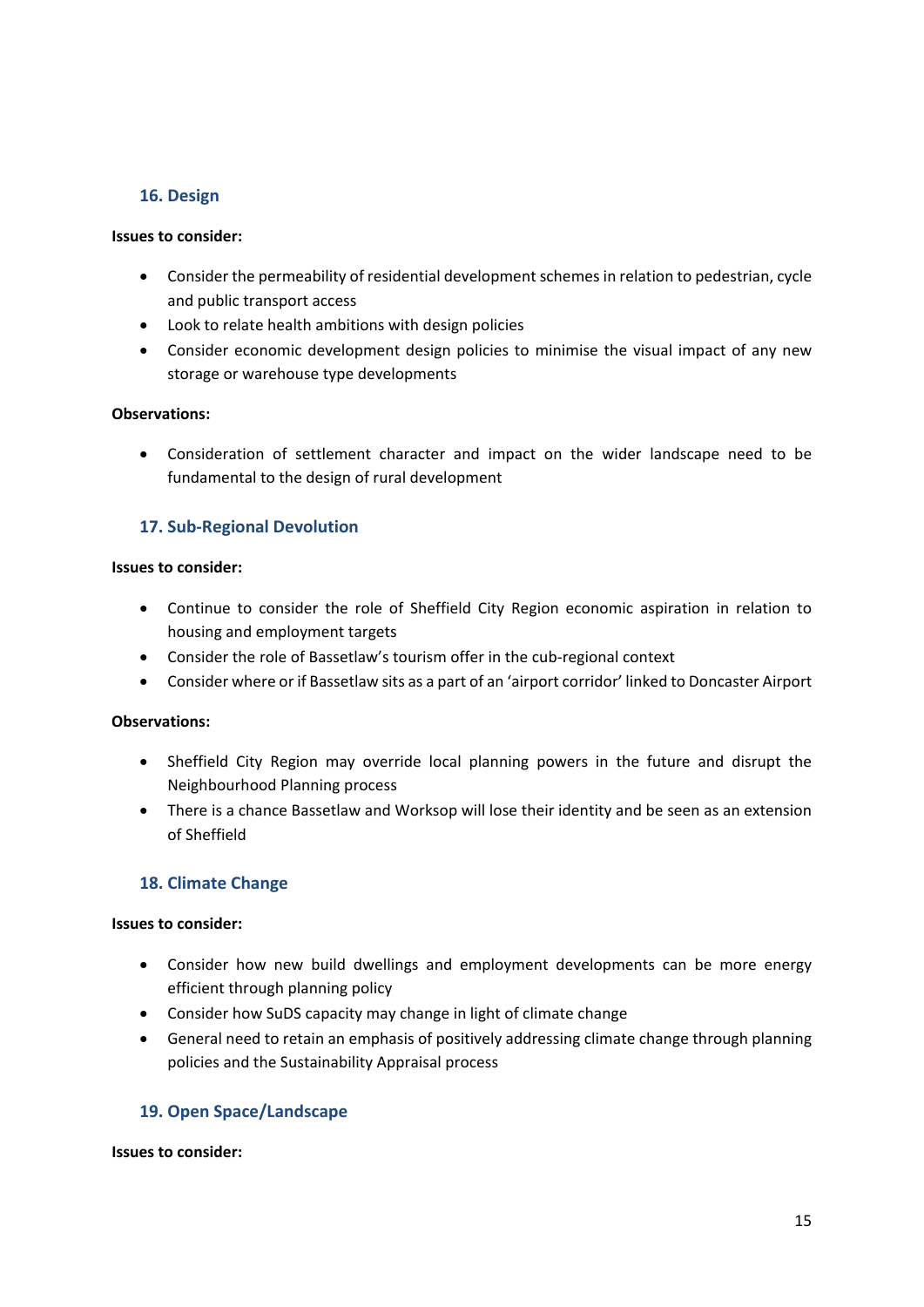# **16. Design**

## **Issues to consider:**

- Consider the permeability of residential development schemes in relation to pedestrian, cycle and public transport access
- Look to relate health ambitions with design policies
- Consider economic development design policies to minimise the visual impact of any new storage or warehouse type developments

## **Observations:**

• Consideration of settlement character and impact on the wider landscape need to be fundamental to the design of rural development

# **17. Sub-Regional Devolution**

## **Issues to consider:**

- Continue to consider the role of Sheffield City Region economic aspiration in relation to housing and employment targets
- Consider the role of Bassetlaw's tourism offer in the cub-regional context
- Consider where or if Bassetlaw sits as a part of an 'airport corridor' linked to Doncaster Airport

## **Observations:**

- Sheffield City Region may override local planning powers in the future and disrupt the Neighbourhood Planning process
- There is a chance Bassetlaw and Worksop will lose their identity and be seen as an extension of Sheffield

# **18. Climate Change**

## **Issues to consider:**

- Consider how new build dwellings and employment developments can be more energy efficient through planning policy
- Consider how SuDS capacity may change in light of climate change
- General need to retain an emphasis of positively addressing climate change through planning policies and the Sustainability Appraisal process

# **19. Open Space/Landscape**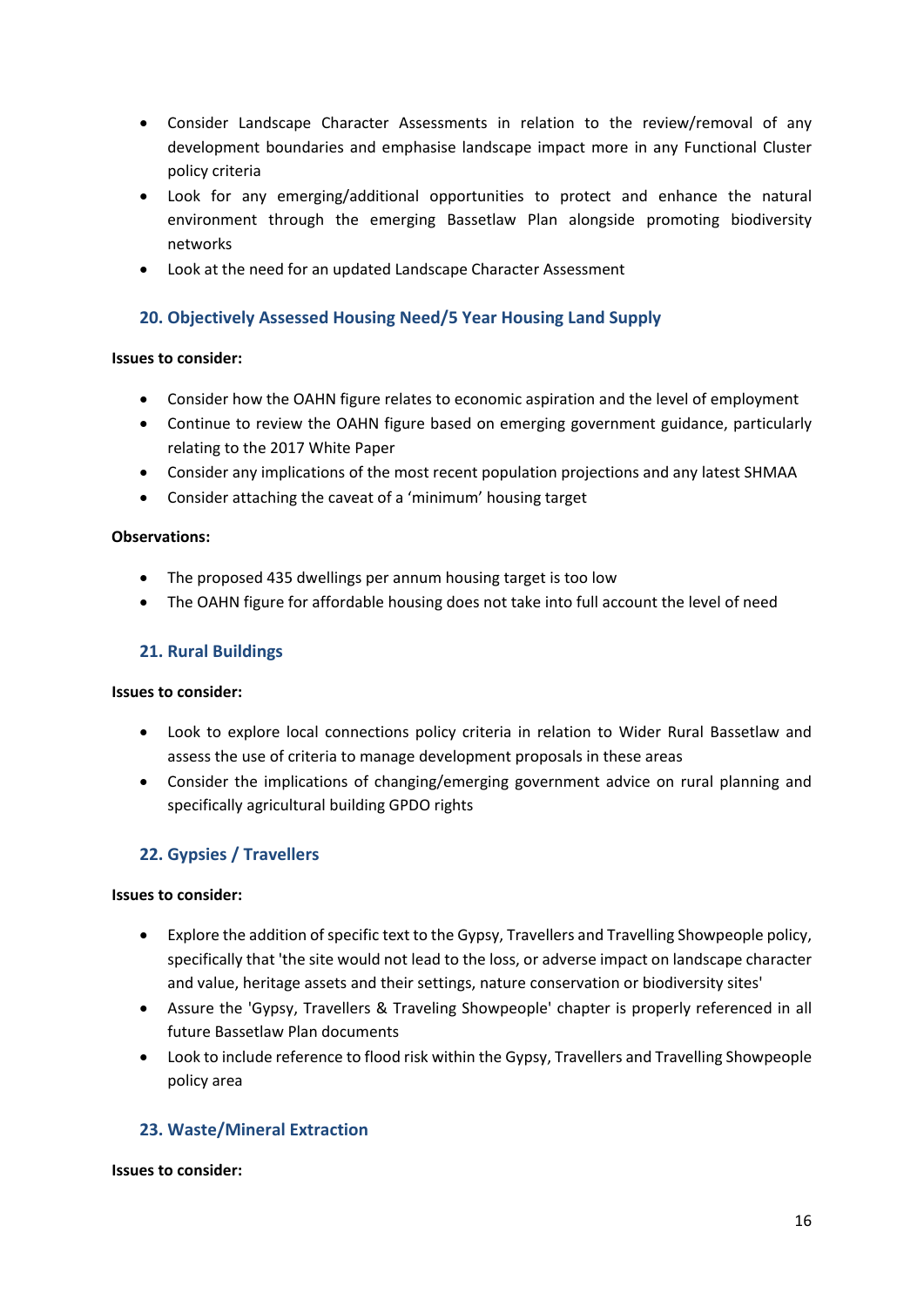- Consider Landscape Character Assessments in relation to the review/removal of any development boundaries and emphasise landscape impact more in any Functional Cluster policy criteria
- Look for any emerging/additional opportunities to protect and enhance the natural environment through the emerging Bassetlaw Plan alongside promoting biodiversity networks
- Look at the need for an updated Landscape Character Assessment

# **20. Objectively Assessed Housing Need/5 Year Housing Land Supply**

## **Issues to consider:**

- Consider how the OAHN figure relates to economic aspiration and the level of employment
- Continue to review the OAHN figure based on emerging government guidance, particularly relating to the 2017 White Paper
- Consider any implications of the most recent population projections and any latest SHMAA
- Consider attaching the caveat of a 'minimum' housing target

## **Observations:**

- The proposed 435 dwellings per annum housing target is too low
- The OAHN figure for affordable housing does not take into full account the level of need

## **21. Rural Buildings**

## **Issues to consider:**

- Look to explore local connections policy criteria in relation to Wider Rural Bassetlaw and assess the use of criteria to manage development proposals in these areas
- Consider the implications of changing/emerging government advice on rural planning and specifically agricultural building GPDO rights

# **22. Gypsies / Travellers**

## **Issues to consider:**

- Explore the addition of specific text to the Gypsy, Travellers and Travelling Showpeople policy, specifically that 'the site would not lead to the loss, or adverse impact on landscape character and value, heritage assets and their settings, nature conservation or biodiversity sites'
- Assure the 'Gypsy, Travellers & Traveling Showpeople' chapter is properly referenced in all future Bassetlaw Plan documents
- Look to include reference to flood risk within the Gypsy, Travellers and Travelling Showpeople policy area

# **23. Waste/Mineral Extraction**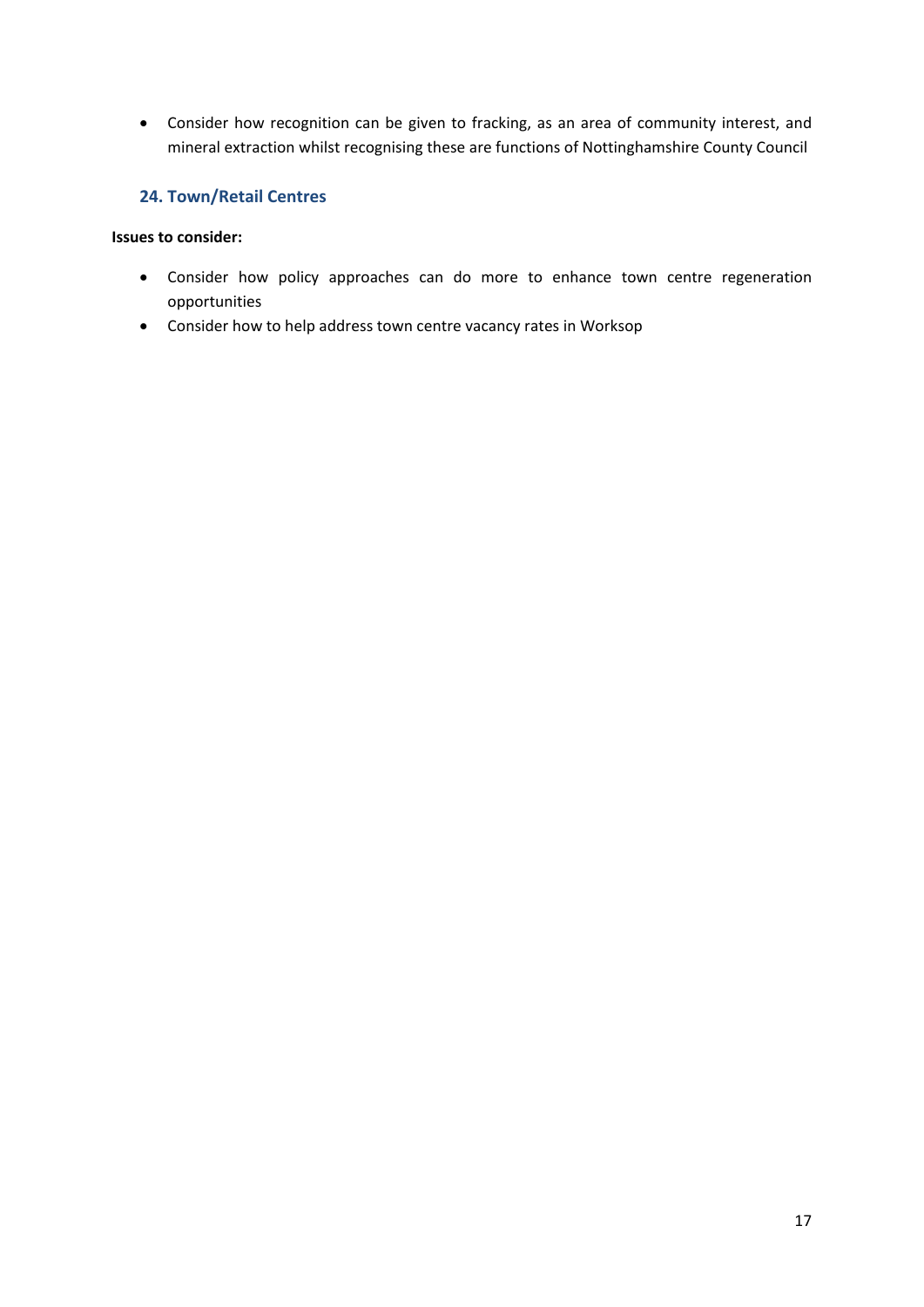• Consider how recognition can be given to fracking, as an area of community interest, and mineral extraction whilst recognising these are functions of Nottinghamshire County Council

# **24. Town/Retail Centres**

- Consider how policy approaches can do more to enhance town centre regeneration opportunities
- Consider how to help address town centre vacancy rates in Worksop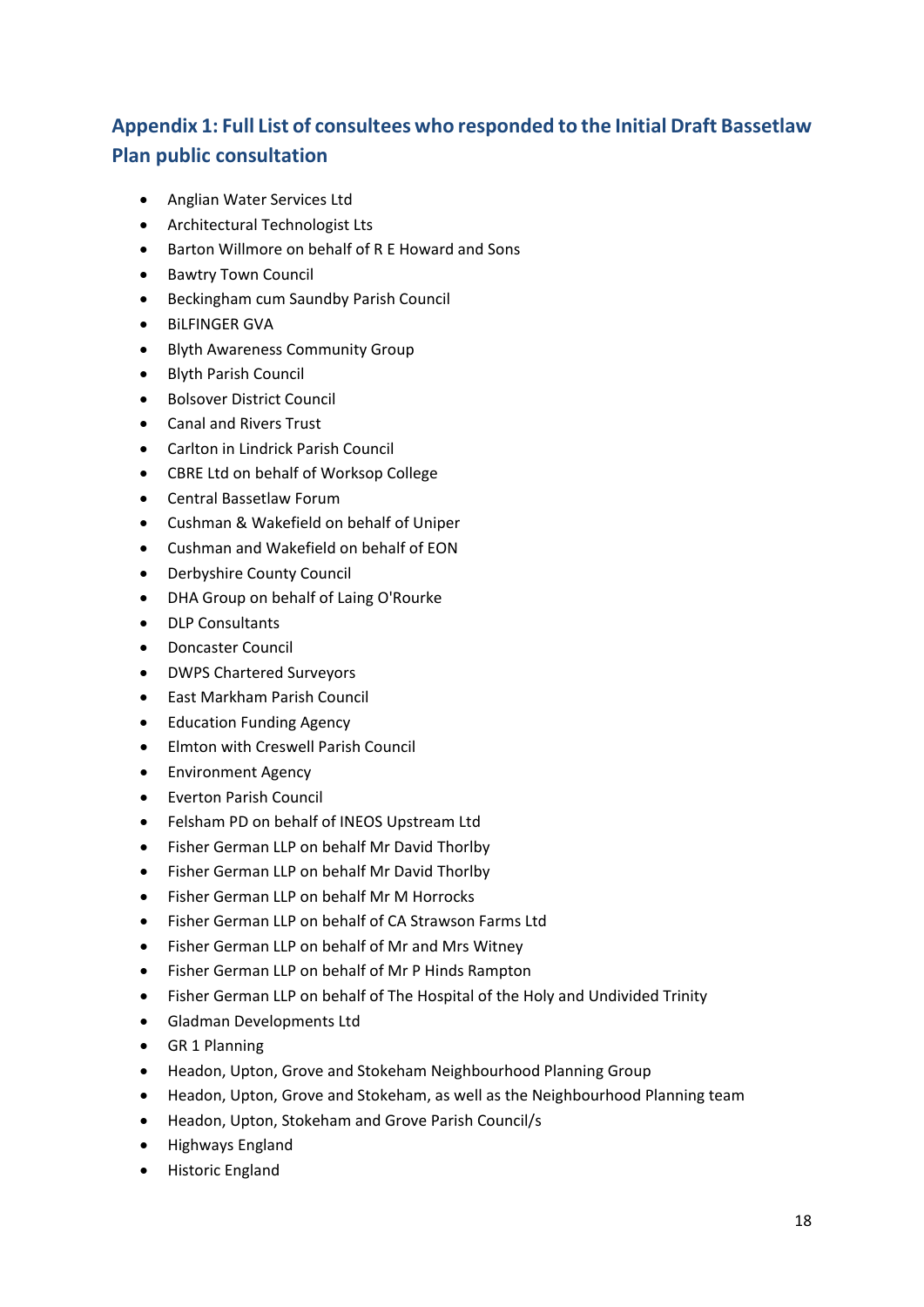# **Appendix 1: Full List of consultees who responded to the Initial Draft Bassetlaw Plan public consultation**

- Anglian Water Services Ltd
- Architectural Technologist Lts
- Barton Willmore on behalf of R E Howard and Sons
- Bawtry Town Council
- Beckingham cum Saundby Parish Council
- BiLFINGER GVA
- Blyth Awareness Community Group
- Blyth Parish Council
- Bolsover District Council
- Canal and Rivers Trust
- Carlton in Lindrick Parish Council
- CBRE Ltd on behalf of Worksop College
- Central Bassetlaw Forum
- Cushman & Wakefield on behalf of Uniper
- Cushman and Wakefield on behalf of EON
- Derbyshire County Council
- DHA Group on behalf of Laing O'Rourke
- **DLP Consultants**
- Doncaster Council
- DWPS Chartered Surveyors
- East Markham Parish Council
- Education Funding Agency
- Elmton with Creswell Parish Council
- Environment Agency
- Everton Parish Council
- Felsham PD on behalf of INEOS Upstream Ltd
- Fisher German LLP on behalf Mr David Thorlby
- Fisher German LLP on behalf Mr David Thorlby
- Fisher German LLP on behalf Mr M Horrocks
- Fisher German LLP on behalf of CA Strawson Farms Ltd
- Fisher German LLP on behalf of Mr and Mrs Witney
- Fisher German LLP on behalf of Mr P Hinds Rampton
- Fisher German LLP on behalf of The Hospital of the Holy and Undivided Trinity
- Gladman Developments Ltd
- GR 1 Planning
- Headon, Upton, Grove and Stokeham Neighbourhood Planning Group
- Headon, Upton, Grove and Stokeham, as well as the Neighbourhood Planning team
- Headon, Upton, Stokeham and Grove Parish Council/s
- Highways England
- Historic England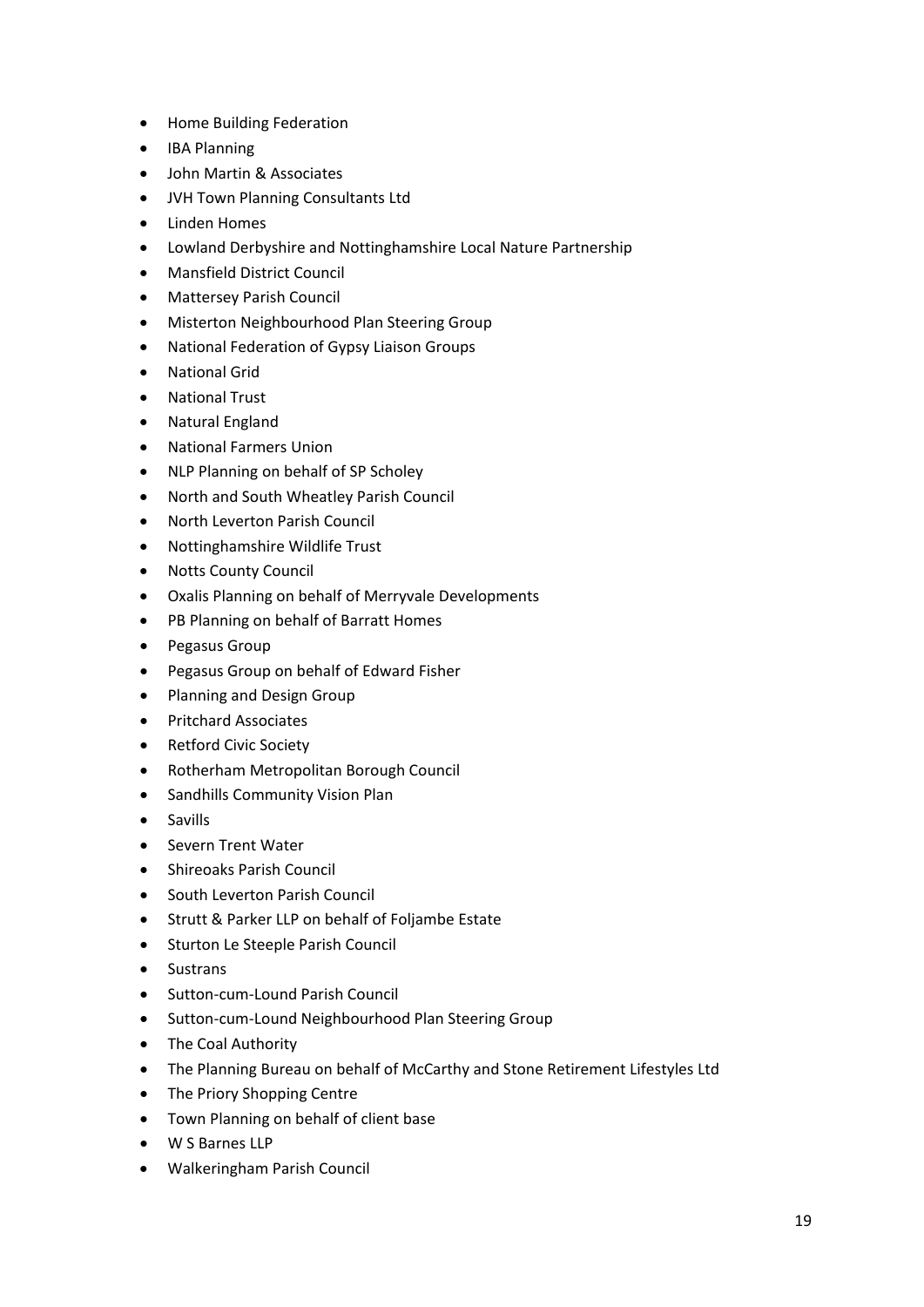- Home Building Federation
- IBA Planning
- John Martin & Associates
- JVH Town Planning Consultants Ltd
- Linden Homes
- Lowland Derbyshire and Nottinghamshire Local Nature Partnership
- Mansfield District Council
- Mattersey Parish Council
- Misterton Neighbourhood Plan Steering Group
- National Federation of Gypsy Liaison Groups
- National Grid
- National Trust
- Natural England
- National Farmers Union
- NLP Planning on behalf of SP Scholey
- North and South Wheatley Parish Council
- North Leverton Parish Council
- Nottinghamshire Wildlife Trust
- Notts County Council
- Oxalis Planning on behalf of Merryvale Developments
- PB Planning on behalf of Barratt Homes
- Pegasus Group
- Pegasus Group on behalf of Edward Fisher
- Planning and Design Group
- Pritchard Associates
- Retford Civic Society
- Rotherham Metropolitan Borough Council
- Sandhills Community Vision Plan
- Savills
- Severn Trent Water
- Shireoaks Parish Council
- South Leverton Parish Council
- Strutt & Parker LLP on behalf of Foljambe Estate
- Sturton Le Steeple Parish Council
- Sustrans
- Sutton-cum-Lound Parish Council
- Sutton-cum-Lound Neighbourhood Plan Steering Group
- The Coal Authority
- The Planning Bureau on behalf of McCarthy and Stone Retirement Lifestyles Ltd
- The Priory Shopping Centre
- Town Planning on behalf of client base
- W S Barnes LLP
- Walkeringham Parish Council